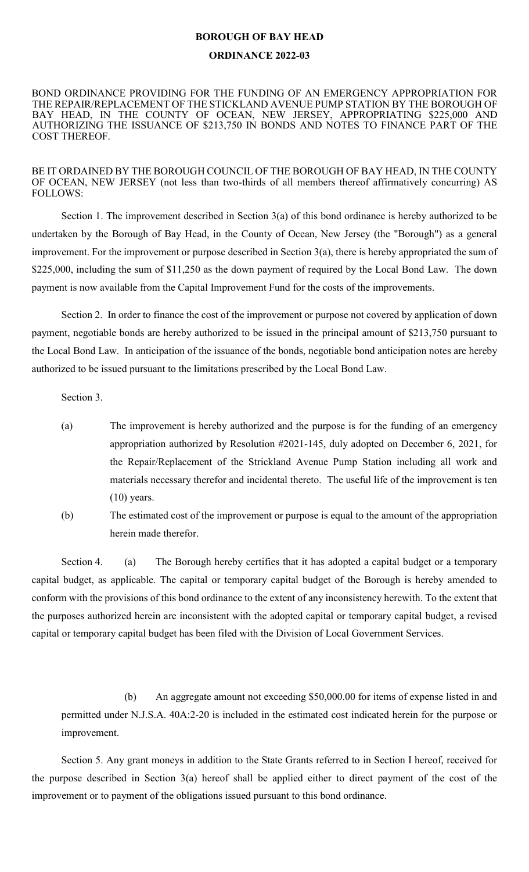## **BOROUGH OF BAY HEAD**

## **ORDINANCE 2022-03**

BOND ORDINANCE PROVIDING FOR THE FUNDING OF AN EMERGENCY APPROPRIATION FOR THE REPAIR/REPLACEMENT OF THE STICKLAND AVENUE PUMP STATION BY THE BOROUGH OF BAY HEAD, IN THE COUNTY OF OCEAN, NEW JERSEY, APPROPRIATING \$225,000 AND AUTHORIZING THE ISSUANCE OF \$213,750 IN BONDS AND NOTES TO FINANCE PART OF THE COST THEREOF.

BE IT ORDAINED BY THE BOROUGH COUNCIL OF THE BOROUGH OF BAY HEAD, IN THE COUNTY OF OCEAN, NEW JERSEY (not less than two-thirds of all members thereof affirmatively concurring) AS FOLLOWS:

Section 1. The improvement described in Section 3(a) of this bond ordinance is hereby authorized to be undertaken by the Borough of Bay Head, in the County of Ocean, New Jersey (the "Borough") as a general improvement. For the improvement or purpose described in Section 3(a), there is hereby appropriated the sum of \$225,000, including the sum of \$11,250 as the down payment of required by the Local Bond Law. The down payment is now available from the Capital Improvement Fund for the costs of the improvements.

Section 2. In order to finance the cost of the improvement or purpose not covered by application of down payment, negotiable bonds are hereby authorized to be issued in the principal amount of \$213,750 pursuant to the Local Bond Law. In anticipation of the issuance of the bonds, negotiable bond anticipation notes are hereby authorized to be issued pursuant to the limitations prescribed by the Local Bond Law.

Section 3.

- (a) The improvement is hereby authorized and the purpose is for the funding of an emergency appropriation authorized by Resolution #2021-145, duly adopted on December 6, 2021, for the Repair/Replacement of the Strickland Avenue Pump Station including all work and materials necessary therefor and incidental thereto. The useful life of the improvement is ten  $(10)$  years.
- (b) The estimated cost of the improvement or purpose is equal to the amount of the appropriation herein made therefor.

Section 4. (a) The Borough hereby certifies that it has adopted a capital budget or a temporary capital budget, as applicable. The capital or temporary capital budget of the Borough is hereby amended to conform with the provisions of this bond ordinance to the extent of any inconsistency herewith. To the extent that the purposes authorized herein are inconsistent with the adopted capital or temporary capital budget, a revised capital or temporary capital budget has been filed with the Division of Local Government Services.

(b) An aggregate amount not exceeding \$50,000.00 for items of expense listed in and permitted under N.J.S.A. 40A:2-20 is included in the estimated cost indicated herein for the purpose or improvement.

Section 5. Any grant moneys in addition to the State Grants referred to in Section I hereof, received for the purpose described in Section 3(a) hereof shall be applied either to direct payment of the cost of the improvement or to payment of the obligations issued pursuant to this bond ordinance.